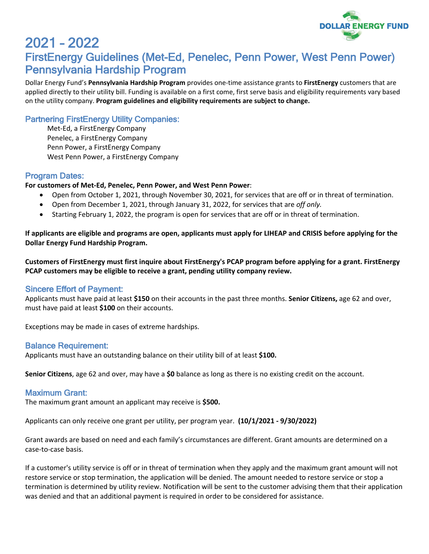

# 2021 – 2022 FirstEnergy Guidelines (Met-Ed, Penelec, Penn Power, West Penn Power) Pennsylvania Hardship Program

Dollar Energy Fund's **Pennsylvania Hardship Program** provides one-time assistance grants to **FirstEnergy** customers that are applied directly to their utility bill. Funding is available on a first come, first serve basis and eligibility requirements vary based on the utility company. **Program guidelines and eligibility requirements are subject to change.**

# Partnering FirstEnergy Utility Companies:

Met-Ed, a FirstEnergy Company Penelec, a FirstEnergy Company Penn Power, a FirstEnergy Company West Penn Power, a FirstEnergy Company

### Program Dates:

#### **For customers of Met-Ed, Penelec, Penn Power, and West Penn Power**:

- Open from October 1, 2021, through November 30, 2021, for services that are off or in threat of termination.
- Open from December 1, 2021, through January 31, 2022, for services that are *off only.*
- Starting February 1, 2022, the program is open for services that are off or in threat of termination.

**If applicants are eligible and programs are open, applicants must apply for LIHEAP and CRISIS before applying for the Dollar Energy Fund Hardship Program.**

**Customers of FirstEnergy must first inquire about FirstEnergy's PCAP program before applying for a grant. FirstEnergy PCAP customers may be eligible to receive a grant, pending utility company review.**

### Sincere Effort of Payment:

Applicants must have paid at least **\$150** on their accounts in the past three months. **Senior Citizens,** age 62 and over, must have paid at least **\$100** on their accounts.

Exceptions may be made in cases of extreme hardships.

#### Balance Requirement:

Applicants must have an outstanding balance on their utility bill of at least **\$100.**

**Senior Citizens**, age 62 and over, may have a **\$0** balance as long as there is no existing credit on the account.

### Maximum Grant:

The maximum grant amount an applicant may receive is **\$500.**

Applicants can only receive one grant per utility, per program year. **(10/1/2021 - 9/30/2022)**

Grant awards are based on need and each family's circumstances are different. Grant amounts are determined on a case-to-case basis.

If a customer's utility service is off or in threat of termination when they apply and the maximum grant amount will not restore service or stop termination, the application will be denied. The amount needed to restore service or stop a termination is determined by utility review. Notification will be sent to the customer advising them that their application was denied and that an additional payment is required in order to be considered for assistance.